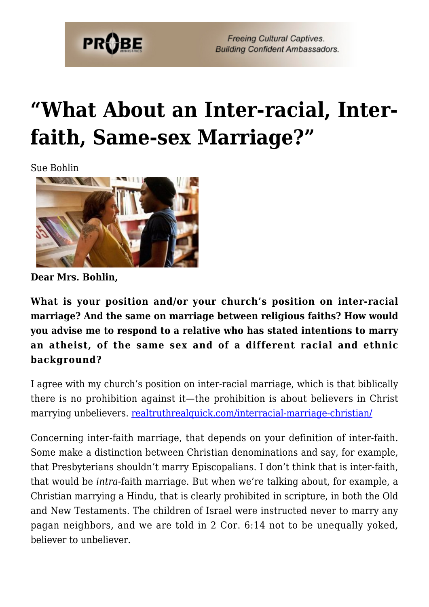

## **["What About an Inter-racial, Inter](https://probe.org/what-about-an-inter-racial-inter-faith-same-sex-marriage/)[faith, Same-sex Marriage?"](https://probe.org/what-about-an-inter-racial-inter-faith-same-sex-marriage/)**

Sue Bohlin



**Dear Mrs. Bohlin,**

**What is your position and/or your church's position on inter-racial marriage? And the same on marriage between religious faiths? How would you advise me to respond to a relative who has stated intentions to marry an atheist, of the same sex and of a different racial and ethnic background?**

I agree with my church's position on inter-racial marriage, which is that biblically there is no prohibition against it—the prohibition is about believers in Christ marrying unbelievers. [realtruthrealquick.com/interracial-marriage-christian/](http://realtruthrealquick.com/interracial-marriage-christian/)

Concerning inter-faith marriage, that depends on your definition of inter-faith. Some make a distinction between Christian denominations and say, for example, that Presbyterians shouldn't marry Episcopalians. I don't think that is inter-faith, that would be *intra*-faith marriage. But when we're talking about, for example, a Christian marrying a Hindu, that is clearly prohibited in scripture, in both the Old and New Testaments. The children of Israel were instructed never to marry any pagan neighbors, and we are told in 2 Cor. 6:14 not to be unequally yoked, believer to unbeliever.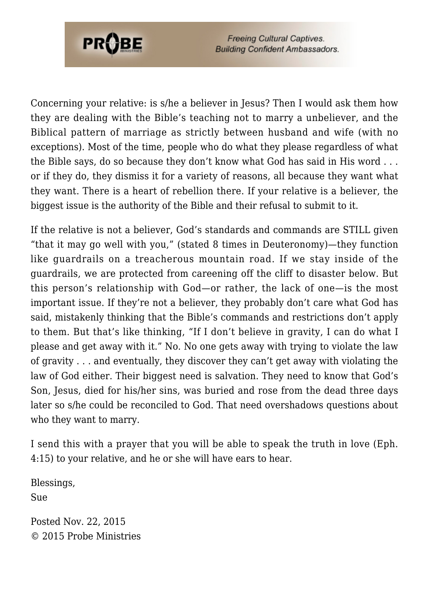

Concerning your relative: is s/he a believer in Jesus? Then I would ask them how they are dealing with the Bible's teaching not to marry a unbeliever, and the Biblical pattern of marriage as strictly between husband and wife (with no exceptions). Most of the time, people who do what they please regardless of what the Bible says, do so because they don't know what God has said in His word . . . or if they do, they dismiss it for a variety of reasons, all because they want what they want. There is a heart of rebellion there. If your relative is a believer, the biggest issue is the authority of the Bible and their refusal to submit to it.

If the relative is not a believer, God's standards and commands are STILL given "that it may go well with you," (stated 8 times in Deuteronomy)—they function like guardrails on a treacherous mountain road. If we stay inside of the guardrails, we are protected from careening off the cliff to disaster below. But this person's relationship with God—or rather, the lack of one—is the most important issue. If they're not a believer, they probably don't care what God has said, mistakenly thinking that the Bible's commands and restrictions don't apply to them. But that's like thinking, "If I don't believe in gravity, I can do what I please and get away with it." No. No one gets away with trying to violate the law of gravity . . . and eventually, they discover they can't get away with violating the law of God either. Their biggest need is salvation. They need to know that God's Son, Jesus, died for his/her sins, was buried and rose from the dead three days later so s/he could be reconciled to God. That need overshadows questions about who they want to marry.

I send this with a prayer that you will be able to speak the truth in love (Eph. 4:15) to your relative, and he or she will have ears to hear.

Blessings, Sue

Posted Nov. 22, 2015 © 2015 Probe Ministries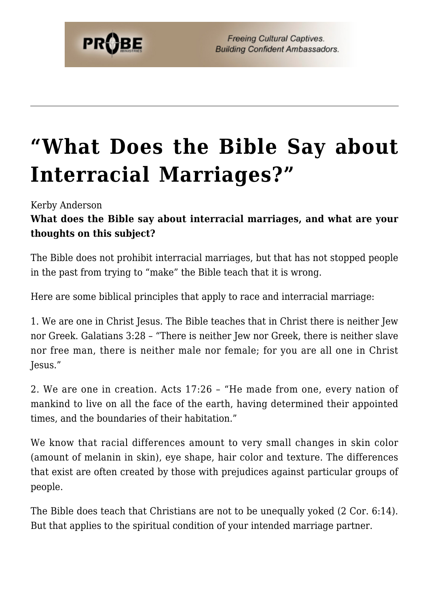

## **["What Does the Bible Say about](https://probe.org/what-does-the-bible-say-about-interracial-marriages/) [Interracial Marriages?"](https://probe.org/what-does-the-bible-say-about-interracial-marriages/)**

Kerby Anderson

## **What does the Bible say about interracial marriages, and what are your thoughts on this subject?**

The Bible does not prohibit interracial marriages, but that has not stopped people in the past from trying to "make" the Bible teach that it is wrong.

Here are some biblical principles that apply to race and interracial marriage:

1. We are one in Christ Jesus. The Bible teaches that in Christ there is neither Jew nor Greek. Galatians 3:28 – "There is neither Jew nor Greek, there is neither slave nor free man, there is neither male nor female; for you are all one in Christ Jesus."

2. We are one in creation. Acts 17:26 – "He made from one, every nation of mankind to live on all the face of the earth, having determined their appointed times, and the boundaries of their habitation."

We know that racial differences amount to very small changes in skin color (amount of melanin in skin), eye shape, hair color and texture. The differences that exist are often created by those with prejudices against particular groups of people.

The Bible does teach that Christians are not to be unequally yoked (2 Cor. 6:14). But that applies to the spiritual condition of your intended marriage partner.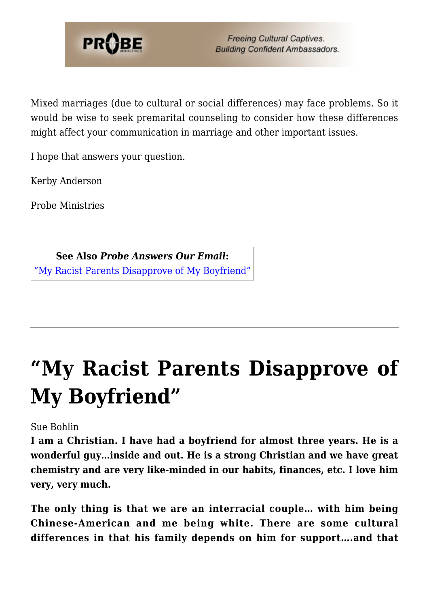

Mixed marriages (due to cultural or social differences) may face problems. So it would be wise to seek premarital counseling to consider how these differences might affect your communication in marriage and other important issues.

I hope that answers your question.

Kerby Anderson

Probe Ministries

**See Also** *Probe Answers Our Email***:** ["My Racist Parents Disapprove of My Boyfriend"](https://www.probe.org/my-racist-parents-disapprove-of-my-boyfriend/)

## **["My Racist Parents Disapprove of](https://probe.org/my-racist-parents-disapprove-of-my-boyfriend/) [My Boyfriend"](https://probe.org/my-racist-parents-disapprove-of-my-boyfriend/)**

Sue Bohlin

**I am a Christian. I have had a boyfriend for almost three years. He is a wonderful guy…inside and out. He is a strong Christian and we have great chemistry and are very like-minded in our habits, finances, etc. I love him very, very much.**

**The only thing is that we are an interracial couple… with him being Chinese-American and me being white. There are some cultural differences in that his family depends on him for support….and that**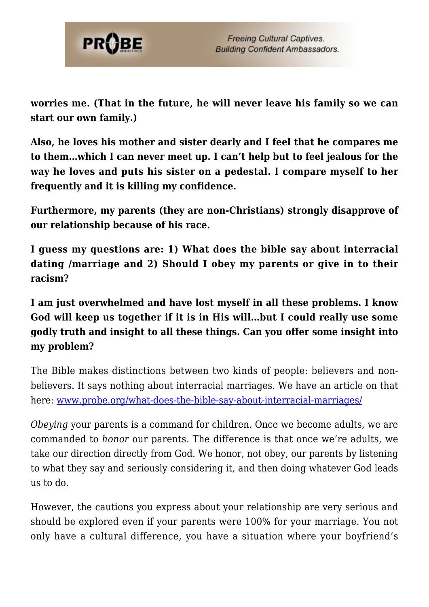

**worries me. (That in the future, he will never leave his family so we can start our own family.)**

**Also, he loves his mother and sister dearly and I feel that he compares me to them…which I can never meet up. I can't help but to feel jealous for the way he loves and puts his sister on a pedestal. I compare myself to her frequently and it is killing my confidence.**

**Furthermore, my parents (they are non-Christians) strongly disapprove of our relationship because of his race.**

**I guess my questions are: 1) What does the bible say about interracial dating /marriage and 2) Should I obey my parents or give in to their racism?**

**I am just overwhelmed and have lost myself in all these problems. I know God will keep us together if it is in His will…but I could really use some godly truth and insight to all these things. Can you offer some insight into my problem?**

The Bible makes distinctions between two kinds of people: believers and nonbelievers. It says nothing about interracial marriages. We have an article on that here: [www.probe.org/what-does-the-bible-say-about-interracial-marriages/](https://www.probe.org/what-does-the-bible-say-about-interracial-marriages/)

*Obeying* your parents is a command for children. Once we become adults, we are commanded to *honor* our parents. The difference is that once we're adults, we take our direction directly from God. We honor, not obey, our parents by listening to what they say and seriously considering it, and then doing whatever God leads us to do.

However, the cautions you express about your relationship are very serious and should be explored even if your parents were 100% for your marriage. You not only have a cultural difference, you have a situation where your boyfriend's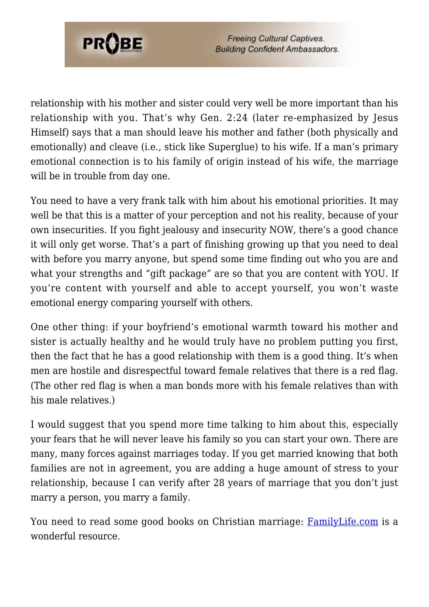

relationship with his mother and sister could very well be more important than his relationship with you. That's why Gen. 2:24 (later re-emphasized by Jesus Himself) says that a man should leave his mother and father (both physically and emotionally) and cleave (i.e., stick like Superglue) to his wife. If a man's primary emotional connection is to his family of origin instead of his wife, the marriage will be in trouble from day one.

You need to have a very frank talk with him about his emotional priorities. It may well be that this is a matter of your perception and not his reality, because of your own insecurities. If you fight jealousy and insecurity NOW, there's a good chance it will only get worse. That's a part of finishing growing up that you need to deal with before you marry anyone, but spend some time finding out who you are and what your strengths and "gift package" are so that you are content with YOU. If you're content with yourself and able to accept yourself, you won't waste emotional energy comparing yourself with others.

One other thing: if your boyfriend's emotional warmth toward his mother and sister is actually healthy and he would truly have no problem putting you first, then the fact that he has a good relationship with them is a good thing. It's when men are hostile and disrespectful toward female relatives that there is a red flag. (The other red flag is when a man bonds more with his female relatives than with his male relatives.)

I would suggest that you spend more time talking to him about this, especially your fears that he will never leave his family so you can start your own. There are many, many forces against marriages today. If you get married knowing that both families are not in agreement, you are adding a huge amount of stress to your relationship, because I can verify after 28 years of marriage that you don't just marry a person, you marry a family.

You need to read some good books on Christian marriage: **[FamilyLife.com](http://familylife.com/)** is a wonderful resource.